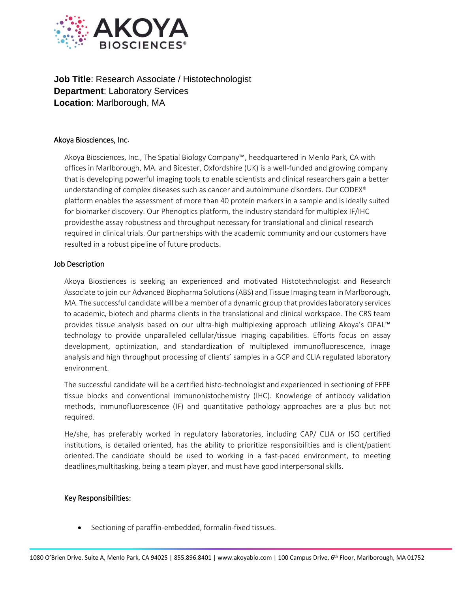

**Job Title: Research Associate / Histotechnologist Department**: Laboratory Services **Location**: Marlborough, MA

## Akoya Biosciences, Inc.

Akoya Biosciences, Inc., The Spatial Biology Company™, headquartered in Menlo Park, CA with offices in Marlborough, MA. and Bicester, Oxfordshire (UK) is a well-funded and growing company that is developing powerful imaging tools to enable scientists and clinical researchers gain a better understanding of complex diseases such as cancer and autoimmune disorders. Our CODEX® platform enables the assessment of more than 40 protein markers in a sample and is ideally suited for biomarker discovery. Our Phenoptics platform, the industry standard for multiplex IF/IHC providesthe assay robustness and throughput necessary for translational and clinical research required in clinical trials. Our partnerships with the academic community and our customers have resulted in a robust pipeline of future products.

## Job Description

Akoya Biosciences is seeking an experienced and motivated Histotechnologist and Research Associate to join our Advanced Biopharma Solutions (ABS) and Tissue Imaging team in Marlborough, MA. The successful candidate will be a member of a dynamic group that provideslaboratory services to academic, biotech and pharma clients in the translational and clinical workspace. The CRS team provides tissue analysis based on our ultra-high multiplexing approach utilizing Akoya's OPAL™ technology to provide unparalleled cellular/tissue imaging capabilities. Efforts focus on assay development, optimization, and standardization of multiplexed immunofluorescence, image analysis and high throughput processing of clients' samples in a GCP and CLIA regulated laboratory environment.

The successful candidate will be a certified histo-technologist and experienced in sectioning of FFPE tissue blocks and conventional immunohistochemistry (IHC). Knowledge of antibody validation methods, immunofluorescence (IF) and quantitative pathology approaches are a plus but not required.

He/she, has preferably worked in regulatory laboratories, including CAP/ CLIA or ISO certified institutions, is detailed oriented, has the ability to prioritize responsibilities and is client/patient oriented. The candidate should be used to working in a fast-paced environment, to meeting deadlines,multitasking, being a team player, and must have good interpersonal skills.

## Key Responsibilities:

• Sectioning of paraffin-embedded, formalin-fixed tissues.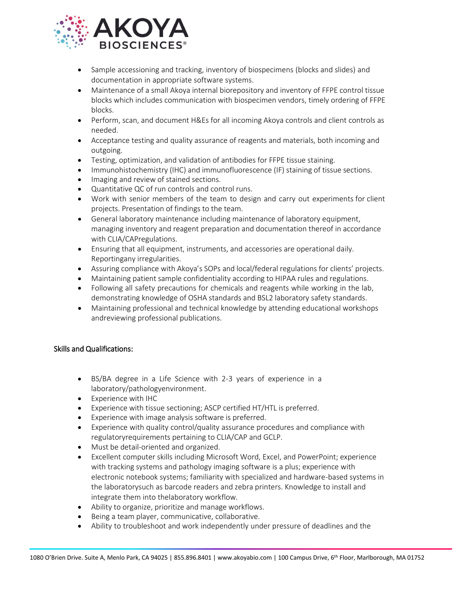

- Sample accessioning and tracking, inventory of biospecimens (blocks and slides) and documentation in appropriate software systems.
- Maintenance of a small Akoya internal biorepository and inventory of FFPE control tissue blocks which includes communication with biospecimen vendors, timely ordering of FFPE blocks.
- Perform, scan, and document H&Es for all incoming Akoya controls and client controls as needed.
- Acceptance testing and quality assurance of reagents and materials, both incoming and outgoing.
- Testing, optimization, and validation of antibodies for FFPE tissue staining.
- Immunohistochemistry (IHC) and immunofluorescence (IF) staining of tissue sections.
- Imaging and review of stained sections.
- Quantitative QC of run controls and control runs.
- Work with senior members of the team to design and carry out experiments for client projects. Presentation of findings to the team.
- General laboratory maintenance including maintenance of laboratory equipment, managing inventory and reagent preparation and documentation thereof in accordance with CLIA/CAPregulations.
- Ensuring that all equipment, instruments, and accessories are operational daily. Reportingany irregularities.
- Assuring compliance with Akoya's SOPs and local/federal regulations for clients' projects.
- Maintaining patient sample confidentiality according to HIPAA rules and regulations.
- Following all safety precautions for chemicals and reagents while working in the lab, demonstrating knowledge of OSHA standards and BSL2 laboratory safety standards.
- Maintaining professional and technical knowledge by attending educational workshops andreviewing professional publications.

## Skills and Qualifications:

- BS/BA degree in a Life Science with 2-3 years of experience in a laboratory/pathologyenvironment.
- Experience with IHC
- Experience with tissue sectioning; ASCP certified HT/HTL is preferred.
- Experience with image analysis software is preferred.
- Experience with quality control/quality assurance procedures and compliance with regulatoryrequirements pertaining to CLIA/CAP and GCLP.
- Must be detail-oriented and organized.
- Excellent computer skills including Microsoft Word, Excel, and PowerPoint; experience with tracking systems and pathology imaging software is a plus; experience with electronic notebook systems; familiarity with specialized and hardware-based systems in the laboratorysuch as barcode readers and zebra printers. Knowledge to install and integrate them into thelaboratory workflow.
- Ability to organize, prioritize and manage workflows.
- Being a team player, communicative, collaborative.
- Ability to troubleshoot and work independently under pressure of deadlines and the